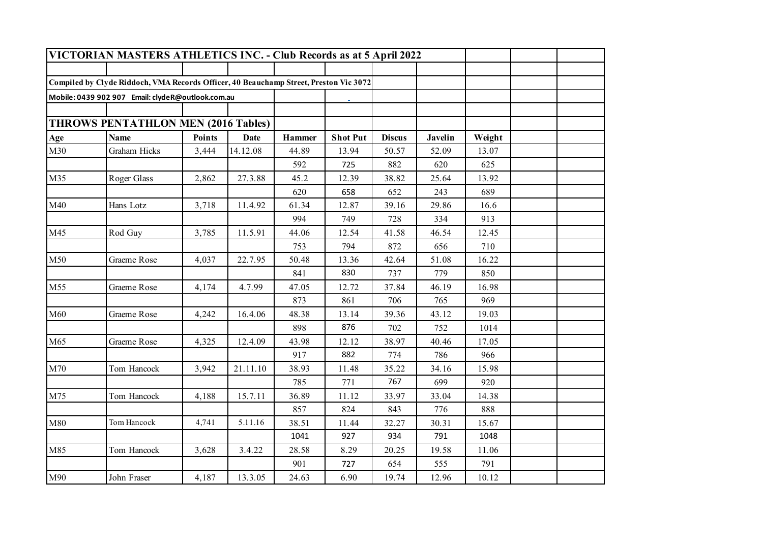|     | VICTORIAN MASTERS ATHLETICS INC. - Club Records as at 5 April 2022                    |               |          |        |                 |               |                |        |  |
|-----|---------------------------------------------------------------------------------------|---------------|----------|--------|-----------------|---------------|----------------|--------|--|
|     |                                                                                       |               |          |        |                 |               |                |        |  |
|     | Compiled by Clyde Riddoch, VMA Records Officer, 40 Beauchamp Street, Preston Vic 3072 |               |          |        |                 |               |                |        |  |
|     | Mobile: 0439 902 907 Email: clydeR@outlook.com.au                                     |               |          |        |                 |               |                |        |  |
|     |                                                                                       |               |          |        |                 |               |                |        |  |
|     | <b>THROWS PENTATHLON MEN (2016 Tables)</b>                                            |               |          |        |                 |               |                |        |  |
| Age | <b>Name</b>                                                                           | <b>Points</b> | Date     | Hammer | <b>Shot Put</b> | <b>Discus</b> | <b>Javelin</b> | Weight |  |
| M30 | Graham Hicks                                                                          | 3,444         | 14.12.08 | 44.89  | 13.94           | 50.57         | 52.09          | 13.07  |  |
|     |                                                                                       |               |          | 592    | 725             | 882           | 620            | 625    |  |
| M35 | Roger Glass                                                                           | 2,862         | 27.3.88  | 45.2   | 12.39           | 38.82         | 25.64          | 13.92  |  |
|     |                                                                                       |               |          | 620    | 658             | 652           | 243            | 689    |  |
| M40 | Hans Lotz                                                                             | 3,718         | 11.4.92  | 61.34  | 12.87           | 39.16         | 29.86          | 16.6   |  |
|     |                                                                                       |               |          | 994    | 749             | 728           | 334            | 913    |  |
| M45 | Rod Guy                                                                               | 3,785         | 11.5.91  | 44.06  | 12.54           | 41.58         | 46.54          | 12.45  |  |
|     |                                                                                       |               |          | 753    | 794             | 872           | 656            | 710    |  |
| M50 | Graeme Rose                                                                           | 4,037         | 22.7.95  | 50.48  | 13.36           | 42.64         | 51.08          | 16.22  |  |
|     |                                                                                       |               |          | 841    | 830             | 737           | 779            | 850    |  |
| M55 | Graeme Rose                                                                           | 4,174         | 4.7.99   | 47.05  | 12.72           | 37.84         | 46.19          | 16.98  |  |
|     |                                                                                       |               |          | 873    | 861             | 706           | 765            | 969    |  |
| M60 | Graeme Rose                                                                           | 4,242         | 16.4.06  | 48.38  | 13.14           | 39.36         | 43.12          | 19.03  |  |
|     |                                                                                       |               |          | 898    | 876             | 702           | 752            | 1014   |  |
| M65 | Graeme Rose                                                                           | 4,325         | 12.4.09  | 43.98  | 12.12           | 38.97         | 40.46          | 17.05  |  |
|     |                                                                                       |               |          | 917    | 882             | 774           | 786            | 966    |  |
| M70 | Tom Hancock                                                                           | 3,942         | 21.11.10 | 38.93  | 11.48           | 35.22         | 34.16          | 15.98  |  |
|     |                                                                                       |               |          | 785    | 771             | 767           | 699            | 920    |  |
| M75 | Tom Hancock                                                                           | 4,188         | 15.7.11  | 36.89  | 11.12           | 33.97         | 33.04          | 14.38  |  |
|     |                                                                                       |               |          | 857    | 824             | 843           | 776            | 888    |  |
| M80 | Tom Hancock                                                                           | 4,741         | 5.11.16  | 38.51  | 11.44           | 32.27         | 30.31          | 15.67  |  |
|     |                                                                                       |               |          | 1041   | 927             | 934           | 791            | 1048   |  |
| M85 | Tom Hancock                                                                           | 3,628         | 3.4.22   | 28.58  | 8.29            | 20.25         | 19.58          | 11.06  |  |
|     |                                                                                       |               |          | 901    | 727             | 654           | 555            | 791    |  |
| M90 | John Fraser                                                                           | 4,187         | 13.3.05  | 24.63  | 6.90            | 19.74         | 12.96          | 10.12  |  |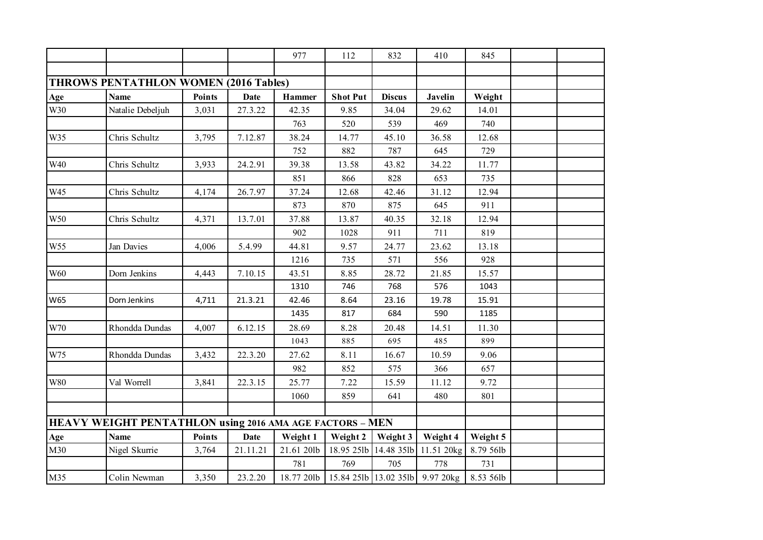|            |                                                          |        |             | 977        | 112             | 832           | 410                                                  | 845       |  |
|------------|----------------------------------------------------------|--------|-------------|------------|-----------------|---------------|------------------------------------------------------|-----------|--|
|            |                                                          |        |             |            |                 |               |                                                      |           |  |
|            | <b>THROWS PENTATHLON WOMEN (2016 Tables)</b>             |        |             |            |                 |               |                                                      |           |  |
| Age        | <b>Name</b>                                              | Points | <b>Date</b> | Hammer     | <b>Shot Put</b> | <b>Discus</b> | <b>Javelin</b>                                       | Weight    |  |
| W30        | Natalie Debeljuh                                         | 3,031  | 27.3.22     | 42.35      | 9.85            | 34.04         | 29.62                                                | 14.01     |  |
|            |                                                          |        |             | 763        | 520             | 539           | 469                                                  | 740       |  |
| W35        | Chris Schultz                                            | 3,795  | 7.12.87     | 38.24      | 14.77           | 45.10         | 36.58                                                | 12.68     |  |
|            |                                                          |        |             | 752        | 882             | 787           | 645                                                  | 729       |  |
| W40        | Chris Schultz                                            | 3,933  | 24.2.91     | 39.38      | 13.58           | 43.82         | 34.22                                                | 11.77     |  |
|            |                                                          |        |             | 851        | 866             | 828           | 653                                                  | 735       |  |
| W45        | Chris Schultz                                            | 4,174  | 26.7.97     | 37.24      | 12.68           | 42.46         | 31.12                                                | 12.94     |  |
|            |                                                          |        |             | 873        | 870             | 875           | 645                                                  | 911       |  |
| W50        | Chris Schultz                                            | 4,371  | 13.7.01     | 37.88      | 13.87           | 40.35         | 32.18                                                | 12.94     |  |
|            |                                                          |        |             | 902        | 1028            | 911           | 711                                                  | 819       |  |
| W55        | Jan Davies                                               | 4,006  | 5.4.99      | 44.81      | 9.57            | 24.77         | 23.62                                                | 13.18     |  |
|            |                                                          |        |             | 1216       | 735             | 571           | 556                                                  | 928       |  |
| <b>W60</b> | Dorn Jenkins                                             | 4,443  | 7.10.15     | 43.51      | 8.85            | 28.72         | 21.85                                                | 15.57     |  |
|            |                                                          |        |             | 1310       | 746             | 768           | 576                                                  | 1043      |  |
| W65        | Dorn Jenkins                                             | 4,711  | 21.3.21     | 42.46      | 8.64            | 23.16         | 19.78                                                | 15.91     |  |
|            |                                                          |        |             | 1435       | 817             | 684           | 590                                                  | 1185      |  |
| W70        | Rhondda Dundas                                           | 4,007  | 6.12.15     | 28.69      | 8.28            | 20.48         | 14.51                                                | 11.30     |  |
|            |                                                          |        |             | 1043       | 885             | 695           | 485                                                  | 899       |  |
| W75        | Rhondda Dundas                                           | 3,432  | 22.3.20     | 27.62      | 8.11            | 16.67         | 10.59                                                | 9.06      |  |
|            |                                                          |        |             | 982        | 852             | 575           | 366                                                  | 657       |  |
| <b>W80</b> | Val Worrell                                              | 3,841  | 22.3.15     | 25.77      | 7.22            | 15.59         | 11.12                                                | 9.72      |  |
|            |                                                          |        |             | 1060       | 859             | 641           | 480                                                  | 801       |  |
|            |                                                          |        |             |            |                 |               |                                                      |           |  |
|            | HEAVY WEIGHT PENTATHLON using 2016 AMA AGE FACTORS - MEN |        |             |            |                 |               |                                                      |           |  |
| Age        | <b>Name</b>                                              | Points | <b>Date</b> | Weight 1   | Weight 2        | Weight 3      | Weight 4                                             | Weight 5  |  |
| M30        | Nigel Skurrie                                            | 3,764  | 21.11.21    | 21.61 20lb | 18.95 25lb      | 14.48 35lb    | 11.51 20kg                                           | 8.79 56lb |  |
|            |                                                          |        |             | 781        | 769             | 705           | 778                                                  | 731       |  |
| M35        | Colin Newman                                             | 3,350  | 23.2.20     |            |                 |               | 18.77 201b 15.84 251b 13.02 351b 9.97 20kg 8.53 561b |           |  |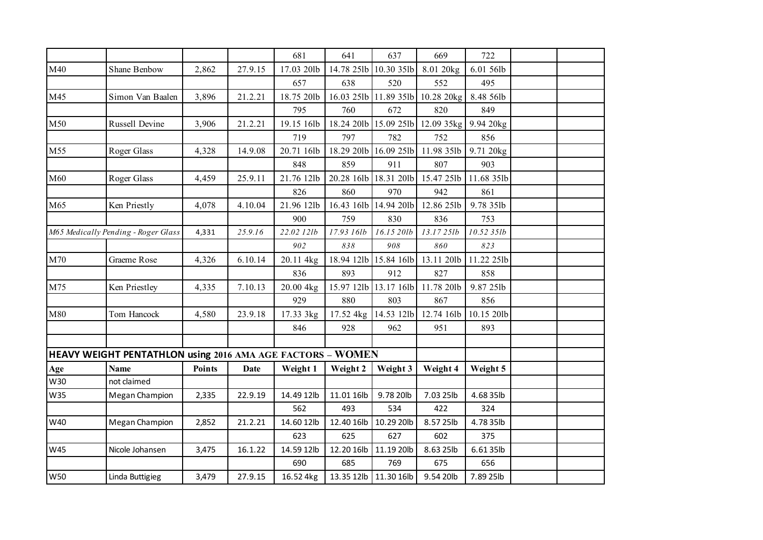|            |                                                            |        |             | 681        | 641        | 637                   | 669                              | 722        |  |
|------------|------------------------------------------------------------|--------|-------------|------------|------------|-----------------------|----------------------------------|------------|--|
| M40        | Shane Benbow                                               | 2,862  | 27.9.15     | 17.03 20lb |            | 14.78 25lb 10.30 35lb | 8.01 20kg                        | 6.01 56lb  |  |
|            |                                                            |        |             | 657        | 638        | 520                   | 552                              | 495        |  |
| M45        | Simon Van Baalen                                           | 3,896  | 21.2.21     | 18.75 20lb |            |                       | 16.03 25lb 11.89 35lb 10.28 20kg | 8.48 56lb  |  |
|            |                                                            |        |             | 795        | 760        | 672                   | 820                              | 849        |  |
| M50        | Russell Devine                                             | 3,906  | 21.2.21     | 19.15 16lb | 18.24 20lb | 15.09 25lb            | 12.09 35kg                       | 9.94 20kg  |  |
|            |                                                            |        |             | 719        | 797        | 782                   | 752                              | 856        |  |
| M55        | Roger Glass                                                | 4,328  | 14.9.08     | 20.71 16lb |            |                       | 18.29 20lb 16.09 25lb 11.98 35lb | 9.71 20kg  |  |
|            |                                                            |        |             | 848        | 859        | 911                   | 807                              | 903        |  |
| M60        | Roger Glass                                                | 4,459  | 25.9.11     | 21.76 12lb |            | 20.28 16lb 18.31 20lb | 15.47 25lb                       | 11.68 35lb |  |
|            |                                                            |        |             | 826        | 860        | 970                   | 942                              | 861        |  |
| M65        | Ken Priestly                                               | 4,078  | 4.10.04     | 21.96 12lb | 16.43 16lb | 14.94 20lb            | 12.86 25lb                       | 9.78 35lb  |  |
|            |                                                            |        |             | 900        | 759        | 830                   | 836                              | 753        |  |
|            | M65 Medically Pending - Roger Glass                        | 4,331  | 25.9.16     | 22.02 12lb | 17.93 16lb | 16.15 20lb            | 13.1725lb                        | 10.52 35lb |  |
|            |                                                            |        |             | 902        | 838        | 908                   | 860                              | 823        |  |
| M70        | Graeme Rose                                                | 4,326  | 6.10.14     | 20.11 4kg  |            | 18.94 12lb 15.84 16lb | 13.11 20lb                       | 11.22 25lb |  |
|            |                                                            |        |             | 836        | 893        | 912                   | 827                              | 858        |  |
| M75        | Ken Priestley                                              | 4,335  | 7.10.13     | 20.00 4kg  | 15.97 12lb | 13.17 16lb            | 11.78 20lb                       | 9.87 25lb  |  |
|            |                                                            |        |             | 929        | 880        | 803                   | 867                              | 856        |  |
| M80        | Tom Hancock                                                | 4,580  | 23.9.18     | 17.33 3kg  | 17.52 4kg  | 14.53 12lb            | 12.74 16lb                       | 10.15 20lb |  |
|            |                                                            |        |             | 846        | 928        | 962                   | 951                              | 893        |  |
|            |                                                            |        |             |            |            |                       |                                  |            |  |
|            | HEAVY WEIGHT PENTATHLON using 2016 AMA AGE FACTORS - WOMEN |        |             |            |            |                       |                                  |            |  |
| Age        | <b>Name</b>                                                | Points | <b>Date</b> | Weight 1   | Weight 2   | Weight 3              | Weight 4                         | Weight 5   |  |
| W30        | not claimed                                                |        |             |            |            |                       |                                  |            |  |
| W35        | Megan Champion                                             | 2,335  | 22.9.19     | 14.49 12lb | 11.01 16lb | 9.78 20lb             | 7.03 25lb                        | 4.68 35lb  |  |
|            |                                                            |        |             | 562        | 493        | 534                   | 422                              | 324        |  |
| W40        | Megan Champion                                             | 2,852  | 21.2.21     | 14.60 12lb | 12.40 16lb | 10.29 20lb            | 8.57 25lb                        | 4.78 35lb  |  |
|            |                                                            |        |             | 623        | 625        | 627                   | 602                              | 375        |  |
| W45        | Nicole Johansen                                            | 3,475  | 16.1.22     | 14.59 12lb | 12.20 16lb | 11.19 20lb            | 8.63 25lb                        | 6.6135lb   |  |
|            |                                                            |        |             | 690        | 685        | 769                   | 675                              | 656        |  |
| <b>W50</b> | Linda Buttigieg                                            | 3,479  | 27.9.15     | 16.52 4kg  |            | 13.35 12lb 11.30 16lb | 9.54 20lb                        | 7.89 25lb  |  |
|            |                                                            |        |             |            |            |                       |                                  |            |  |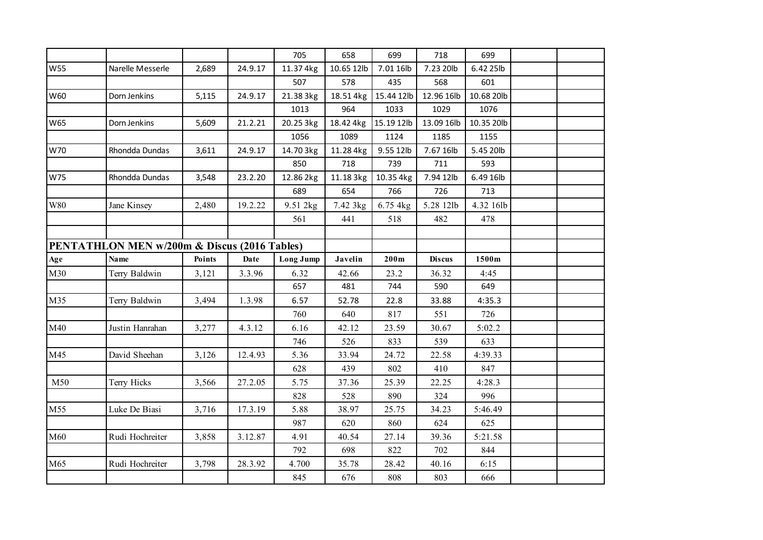|            |                                                         |        |         | 705       | 658        | 699        | 718           | 699        |  |
|------------|---------------------------------------------------------|--------|---------|-----------|------------|------------|---------------|------------|--|
| <b>W55</b> | Narelle Messerle                                        | 2,689  | 24.9.17 | 11.37 4kg | 10.65 12lb | 7.01 16lb  | 7.23 20lb     | 6.42 25lb  |  |
|            |                                                         |        |         | 507       | 578        | 435        | 568           | 601        |  |
| W60        | Dorn Jenkins                                            | 5,115  | 24.9.17 | 21.38 3kg | 18.51 4kg  | 15.44 12lb | 12.96 16lb    | 10.68 20lb |  |
|            |                                                         |        |         | 1013      | 964        | 1033       | 1029          | 1076       |  |
| <b>W65</b> | Dorn Jenkins                                            | 5,609  | 21.2.21 | 20.25 3kg | 18.42 4kg  | 15.19 12lb | 13.09 16lb    | 10.35 20lb |  |
|            |                                                         |        |         | 1056      | 1089       | 1124       | 1185          | 1155       |  |
| W70        | Rhondda Dundas                                          | 3,611  | 24.9.17 | 14.70 3kg | 11.28 4kg  | 9.55 12lb  | 7.67 16lb     | 5.45 20lb  |  |
|            |                                                         |        |         | 850       | 718        | 739        | 711           | 593        |  |
| W75        | Rhondda Dundas                                          | 3,548  | 23.2.20 | 12.86 2kg | 11.18 3kg  | 10.35 4kg  | 7.94 12lb     | 6.49 16lb  |  |
|            |                                                         |        |         | 689       | 654        | 766        | 726           | 713        |  |
| W80        | Jane Kinsey                                             | 2,480  | 19.2.22 | 9.51 2kg  | 7.42 3kg   | 6.75 4kg   | 5.28 12lb     | 4.32 16lb  |  |
|            |                                                         |        |         | 561       | 441        | 518        | 482           | 478        |  |
|            |                                                         |        |         |           |            |            |               |            |  |
|            | <b>PENTATHLON MEN w/200m &amp; Discus (2016 Tables)</b> |        |         |           |            |            |               |            |  |
| Age        | <b>Name</b>                                             | Points | Date    | Long Jump | Javelin    | 200m       | <b>Discus</b> | 1500m      |  |
| M30        | Terry Baldwin                                           | 3,121  | 3.3.96  | 6.32      | 42.66      | 23.2       | 36.32         | 4:45       |  |
|            |                                                         |        |         | 657       | 481        | 744        | 590           | 649        |  |
| M35        | Terry Baldwin                                           | 3,494  | 1.3.98  | 6.57      | 52.78      | 22.8       | 33.88         | 4:35.3     |  |
|            |                                                         |        |         | 760       | 640        | 817        | 551           | 726        |  |
| M40        | Justin Hanrahan                                         | 3,277  | 4.3.12  | 6.16      | 42.12      | 23.59      | 30.67         | 5:02.2     |  |
|            |                                                         |        |         | 746       | 526        | 833        | 539           | 633        |  |
| M45        | David Sheehan                                           | 3,126  | 12.4.93 | 5.36      | 33.94      | 24.72      | 22.58         | 4:39.33    |  |
|            |                                                         |        |         | 628       | 439        | 802        | 410           | 847        |  |
| M50        | Terry Hicks                                             | 3,566  | 27.2.05 | 5.75      | 37.36      | 25.39      | 22.25         | 4:28.3     |  |
|            |                                                         |        |         | 828       | 528        | 890        | 324           | 996        |  |
| M55        | Luke De Biasi                                           | 3,716  | 17.3.19 | 5.88      | 38.97      | 25.75      | 34.23         | 5:46.49    |  |
|            |                                                         |        |         | 987       | 620        | 860        | 624           | 625        |  |
| M60        | Rudi Hochreiter                                         | 3,858  | 3.12.87 | 4.91      | 40.54      | 27.14      | 39.36         | 5:21.58    |  |
|            |                                                         |        |         | 792       | 698        | 822        | 702           | 844        |  |
| M65        | Rudi Hochreiter                                         | 3,798  | 28.3.92 | 4.700     | 35.78      | 28.42      | 40.16         | 6:15       |  |
|            |                                                         |        |         | 845       | 676        | 808        | 803           | 666        |  |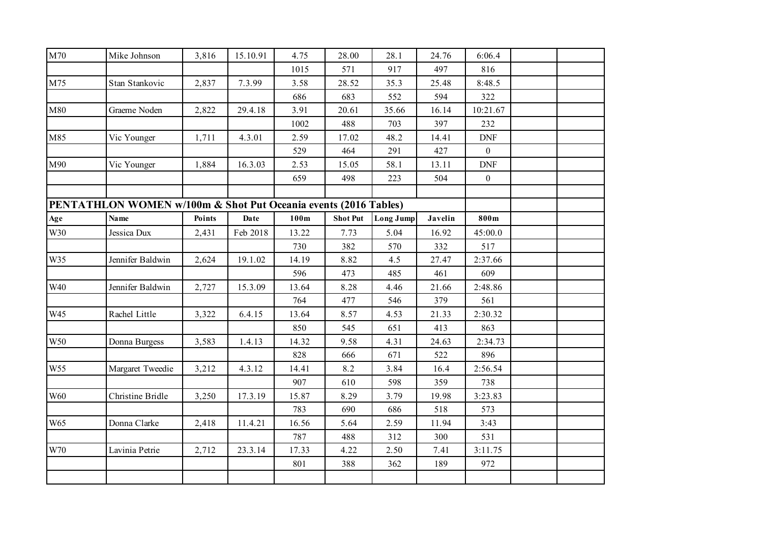| M70 | Mike Johnson                                                               | 3,816  | 15.10.91 | 4.75  | 28.00           | 28.1             | 24.76   | 6:06.4             |  |
|-----|----------------------------------------------------------------------------|--------|----------|-------|-----------------|------------------|---------|--------------------|--|
|     |                                                                            |        |          | 1015  | 571             | 917              | 497     | 816                |  |
| M75 | Stan Stankovic                                                             | 2,837  | 7.3.99   | 3.58  | 28.52           | 35.3             | 25.48   | 8:48.5             |  |
|     |                                                                            |        |          | 686   | 683             | 552              | 594     | 322                |  |
| M80 | Graeme Noden                                                               | 2,822  | 29.4.18  | 3.91  | 20.61           | 35.66            | 16.14   | 10:21.67           |  |
|     |                                                                            |        |          | 1002  | 488             | 703              | 397     | 232                |  |
| M85 | Vic Younger                                                                | 1,711  | 4.3.01   | 2.59  | 17.02           | 48.2             | 14.41   | <b>DNF</b>         |  |
|     |                                                                            |        |          | 529   | 464             | 291              | 427     | $\boldsymbol{0}$   |  |
| M90 | Vic Younger                                                                | 1,884  | 16.3.03  | 2.53  | 15.05           | 58.1             | 13.11   | $\mathop{\rm DNF}$ |  |
|     |                                                                            |        |          | 659   | 498             | 223              | 504     | $\overline{0}$     |  |
|     |                                                                            |        |          |       |                 |                  |         |                    |  |
|     | <b>PENTATHLON WOMEN w/100m &amp; Shot Put Oceania events (2016 Tables)</b> |        |          |       |                 |                  |         |                    |  |
| Age | <b>Name</b>                                                                | Points | Date     | 100m  | <b>Shot Put</b> | <b>Long Jump</b> | Javelin | 800m               |  |
| W30 | Jessica Dux                                                                | 2,431  | Feb 2018 | 13.22 | 7.73            | 5.04             | 16.92   | 45:00.0            |  |
|     |                                                                            |        |          | 730   | 382             | 570              | 332     | 517                |  |
| W35 | Jennifer Baldwin                                                           | 2,624  | 19.1.02  | 14.19 | 8.82            | 4.5              | 27.47   | 2:37.66            |  |
|     |                                                                            |        |          | 596   | 473             | 485              | 461     | 609                |  |
| W40 | Jennifer Baldwin                                                           | 2,727  | 15.3.09  | 13.64 | 8.28            | 4.46             | 21.66   | 2:48.86            |  |
|     |                                                                            |        |          | 764   | 477             | 546              | 379     | 561                |  |
| W45 | Rachel Little                                                              | 3,322  | 6.4.15   | 13.64 | 8.57            | 4.53             | 21.33   | 2:30.32            |  |
|     |                                                                            |        |          | 850   | 545             | 651              | 413     | 863                |  |
| W50 | Donna Burgess                                                              | 3,583  | 1.4.13   | 14.32 | 9.58            | 4.31             | 24.63   | 2:34.73            |  |
|     |                                                                            |        |          | 828   | 666             | 671              | 522     | 896                |  |
| W55 | Margaret Tweedie                                                           | 3,212  | 4.3.12   | 14.41 | 8.2             | 3.84             | 16.4    | 2:56.54            |  |
|     |                                                                            |        |          | 907   | 610             | 598              | 359     | 738                |  |
| W60 | Christine Bridle                                                           | 3,250  | 17.3.19  | 15.87 | 8.29            | 3.79             | 19.98   | 3:23.83            |  |
|     |                                                                            |        |          | 783   | 690             | 686              | 518     | 573                |  |
| W65 | Donna Clarke                                                               | 2,418  | 11.4.21  | 16.56 | 5.64            | 2.59             | 11.94   | 3:43               |  |
|     |                                                                            |        |          | 787   | 488             | 312              | 300     | 531                |  |
| W70 | Lavinia Petrie                                                             | 2,712  | 23.3.14  | 17.33 | 4.22            | 2.50             | 7.41    | 3:11.75            |  |
|     |                                                                            |        |          | 801   | 388             | 362              | 189     | 972                |  |
|     |                                                                            |        |          |       |                 |                  |         |                    |  |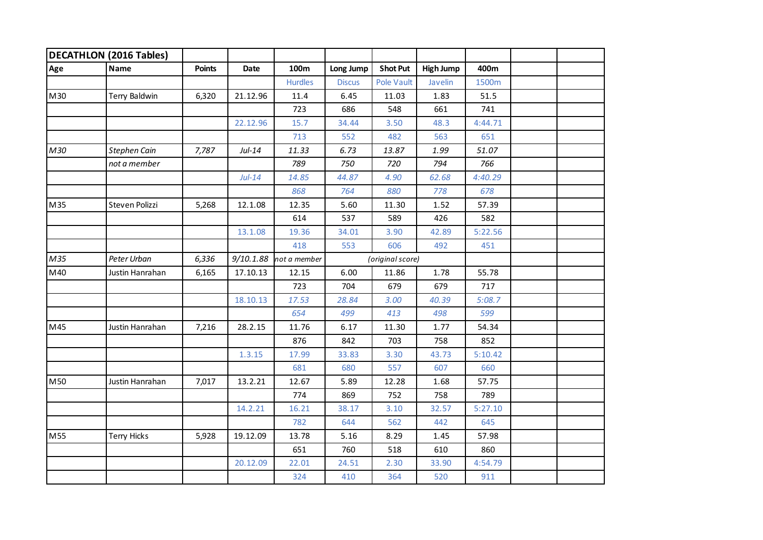|     | <b>DECATHLON (2016 Tables)</b> |               |           |                |               |                   |                  |         |  |
|-----|--------------------------------|---------------|-----------|----------------|---------------|-------------------|------------------|---------|--|
| Age | <b>Name</b>                    | <b>Points</b> | Date      | 100m           | Long Jump     | <b>Shot Put</b>   | <b>High Jump</b> | 400m    |  |
|     |                                |               |           | <b>Hurdles</b> | <b>Discus</b> | <b>Pole Vault</b> | Javelin          | 1500m   |  |
| M30 | Terry Baldwin                  | 6,320         | 21.12.96  | 11.4           | 6.45          | 11.03             | 1.83             | 51.5    |  |
|     |                                |               |           | 723            | 686           | 548               | 661              | 741     |  |
|     |                                |               | 22.12.96  | 15.7           | 34.44         | 3.50              | 48.3             | 4:44.71 |  |
|     |                                |               |           | 713            | 552           | 482               | 563              | 651     |  |
| M30 | Stephen Cain                   | 7,787         | $Jul-14$  | 11.33          | 6.73          | 13.87             | 1.99             | 51.07   |  |
|     | not a member                   |               |           | 789            | 750           | 720               | 794              | 766     |  |
|     |                                |               | $Jul-14$  | 14.85          | 44.87         | 4.90              | 62.68            | 4:40.29 |  |
|     |                                |               |           | 868            | 764           | 880               | 778              | 678     |  |
| M35 | Steven Polizzi                 | 5,268         | 12.1.08   | 12.35          | 5.60          | 11.30             | 1.52             | 57.39   |  |
|     |                                |               |           | 614            | 537           | 589               | 426              | 582     |  |
|     |                                |               | 13.1.08   | 19.36          | 34.01         | 3.90              | 42.89            | 5:22.56 |  |
|     |                                |               |           | 418            | 553           | 606               | 492              | 451     |  |
| M35 | Peter Urban                    | 6,336         | 9/10.1.88 | not a member   |               | (original score)  |                  |         |  |
| M40 | Justin Hanrahan                | 6,165         | 17.10.13  | 12.15          | 6.00          | 11.86             | 1.78             | 55.78   |  |
|     |                                |               |           | 723            | 704           | 679               | 679              | 717     |  |
|     |                                |               | 18.10.13  | 17.53          | 28.84         | 3.00              | 40.39            | 5:08.7  |  |
|     |                                |               |           | 654            | 499           | 413               | 498              | 599     |  |
| M45 | Justin Hanrahan                | 7,216         | 28.2.15   | 11.76          | 6.17          | 11.30             | 1.77             | 54.34   |  |
|     |                                |               |           | 876            | 842           | 703               | 758              | 852     |  |
|     |                                |               | 1.3.15    | 17.99          | 33.83         | 3.30              | 43.73            | 5:10.42 |  |
|     |                                |               |           | 681            | 680           | 557               | 607              | 660     |  |
| M50 | Justin Hanrahan                | 7,017         | 13.2.21   | 12.67          | 5.89          | 12.28             | 1.68             | 57.75   |  |
|     |                                |               |           | 774            | 869           | 752               | 758              | 789     |  |
|     |                                |               | 14.2.21   | 16.21          | 38.17         | 3.10              | 32.57            | 5:27.10 |  |
|     |                                |               |           | 782            | 644           | 562               | 442              | 645     |  |
| M55 | Terry Hicks                    | 5,928         | 19.12.09  | 13.78          | 5.16          | 8.29              | 1.45             | 57.98   |  |
|     |                                |               |           | 651            | 760           | 518               | 610              | 860     |  |
|     |                                |               | 20.12.09  | 22.01          | 24.51         | 2.30              | 33.90            | 4:54.79 |  |
|     |                                |               |           | 324            | 410           | 364               | 520              | 911     |  |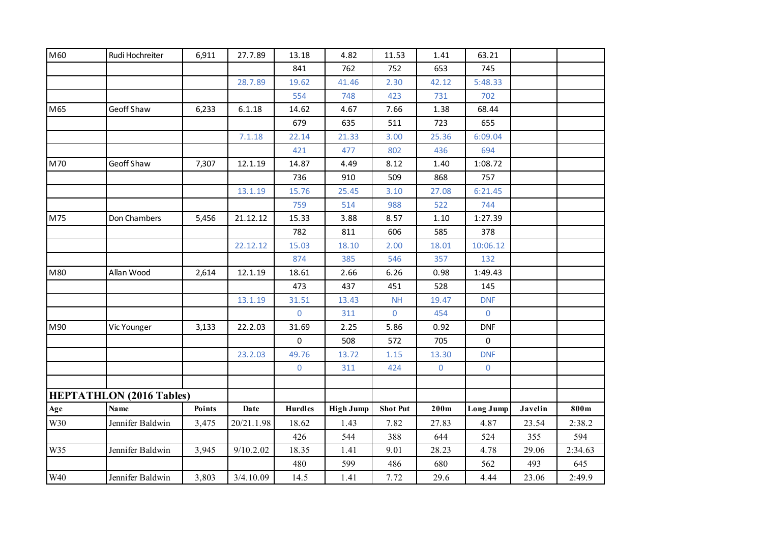| M60 | Rudi Hochreiter                 | 6,911  | 27.7.89    | 13.18          | 4.82             | 11.53           | 1.41           | 63.21       |         |         |
|-----|---------------------------------|--------|------------|----------------|------------------|-----------------|----------------|-------------|---------|---------|
|     |                                 |        |            | 841            | 762              | 752             | 653            | 745         |         |         |
|     |                                 |        | 28.7.89    | 19.62          | 41.46            | 2.30            | 42.12          | 5:48.33     |         |         |
|     |                                 |        |            | 554            | 748              | 423             | 731            | 702         |         |         |
| M65 | Geoff Shaw                      | 6,233  | 6.1.18     | 14.62          | 4.67             | 7.66            | 1.38           | 68.44       |         |         |
|     |                                 |        |            | 679            | 635              | 511             | 723            | 655         |         |         |
|     |                                 |        | 7.1.18     | 22.14          | 21.33            | 3.00            | 25.36          | 6:09.04     |         |         |
|     |                                 |        |            | 421            | 477              | 802             | 436            | 694         |         |         |
| M70 | Geoff Shaw                      | 7,307  | 12.1.19    | 14.87          | 4.49             | 8.12            | 1.40           | 1:08.72     |         |         |
|     |                                 |        |            | 736            | 910              | 509             | 868            | 757         |         |         |
|     |                                 |        | 13.1.19    | 15.76          | 25.45            | 3.10            | 27.08          | 6:21.45     |         |         |
|     |                                 |        |            | 759            | 514              | 988             | 522            | 744         |         |         |
| M75 | Don Chambers                    | 5,456  | 21.12.12   | 15.33          | 3.88             | 8.57            | 1.10           | 1:27.39     |         |         |
|     |                                 |        |            | 782            | 811              | 606             | 585            | 378         |         |         |
|     |                                 |        | 22.12.12   | 15.03          | 18.10            | 2.00            | 18.01          | 10:06.12    |         |         |
|     |                                 |        |            | 874            | 385              | 546             | 357            | 132         |         |         |
| M80 | Allan Wood                      | 2,614  | 12.1.19    | 18.61          | 2.66             | 6.26            | 0.98           | 1:49.43     |         |         |
|     |                                 |        |            | 473            | 437              | 451             | 528            | 145         |         |         |
|     |                                 |        | 13.1.19    | 31.51          | 13.43            | NH              | 19.47          | <b>DNF</b>  |         |         |
|     |                                 |        |            | $\mathbf 0$    | 311              | $\mathbf 0$     | 454            | $\mathbf 0$ |         |         |
| M90 | Vic Younger                     | 3,133  | 22.2.03    | 31.69          | 2.25             | 5.86            | 0.92           | <b>DNF</b>  |         |         |
|     |                                 |        |            | 0              | 508              | 572             | 705            | $\mathbf 0$ |         |         |
|     |                                 |        | 23.2.03    | 49.76          | 13.72            | 1.15            | 13.30          | <b>DNF</b>  |         |         |
|     |                                 |        |            | $\mathbf 0$    | 311              | 424             | $\overline{0}$ | $\mathbf 0$ |         |         |
|     |                                 |        |            |                |                  |                 |                |             |         |         |
|     | <b>HEPTATHLON</b> (2016 Tables) |        |            |                |                  |                 |                |             |         |         |
| Age | Name                            | Points | Date       | <b>Hurdles</b> | <b>High Jump</b> | <b>Shot Put</b> | 200m           | Long Jump   | Javelin | 800m    |
| W30 | Jennifer Baldwin                | 3,475  | 20/21.1.98 | 18.62          | 1.43             | 7.82            | 27.83          | 4.87        | 23.54   | 2:38.2  |
|     |                                 |        |            | 426            | 544              | 388             | 644            | 524         | 355     | 594     |
| W35 | Jennifer Baldwin                | 3,945  | 9/10.2.02  | 18.35          | 1.41             | 9.01            | 28.23          | 4.78        | 29.06   | 2:34.63 |
|     |                                 |        |            | 480            | 599              | 486             | 680            | 562         | 493     | 645     |
| W40 | Jennifer Baldwin                | 3,803  | 3/4.10.09  | 14.5           | 1.41             | 7.72            | 29.6           | 4.44        | 23.06   | 2:49.9  |